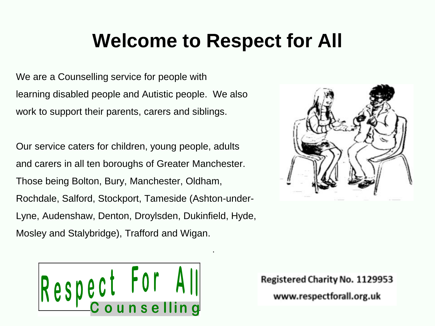## **Welcome to Respect for All**

.

We are a Counselling service for people with learning disabled people and Autistic people. We also work to support their parents, carers and siblings.

Our service caters for children, young people, adults and carers in all ten boroughs of Greater Manchester. Those being Bolton, Bury, Manchester, Oldham, Rochdale, Salford, Stockport, Tameside (Ashton-under-Lyne, Audenshaw, Denton, Droylsden, Dukinfield, Hyde, Mosley and Stalybridge), Trafford and Wigan.



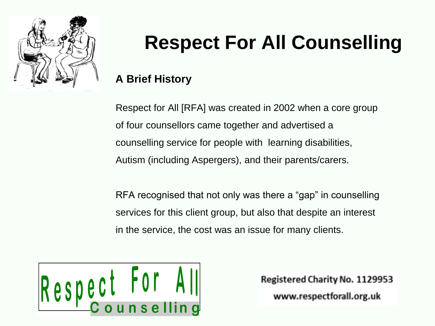

# **Respect For All Counselling**

#### **A Brief History**

Respect for All [RFA] was created in 2002 when a core group of four counsellors came together and advertised a counselling service for people with learning disabilities, Autism (including Aspergers), and their parents/carers.

RFA recognised that not only was there a "gap" in counselling services for this client group, but also that despite an interest in the service, the cost was an issue for many clients.

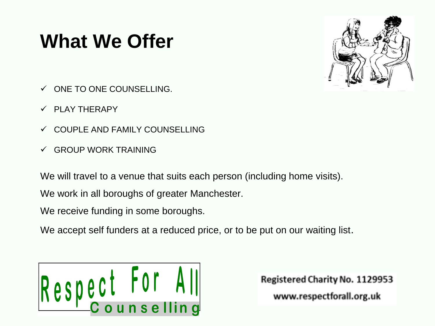# **What We Offer**



- ✓ ONE TO ONE COUNSELLING.
- $\checkmark$  PLAY THERAPY
- ✓ COUPLE AND FAMILY COUNSELLING
- ✓ GROUP WORK TRAINING

We will travel to a venue that suits each person (including home visits).

We work in all boroughs of greater Manchester.

We receive funding in some boroughs.

We accept self funders at a reduced price, or to be put on our waiting list.

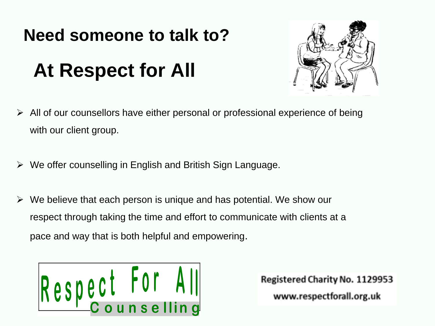#### **Need someone to talk to?**

# **At Respect for All**



- ➢ All of our counsellors have either personal or professional experience of being with our client group.
- $\triangleright$  We offer counselling in English and British Sign Language.
- $\triangleright$  We believe that each person is unique and has potential. We show our respect through taking the time and effort to communicate with clients at a pace and way that is both helpful and empowering.

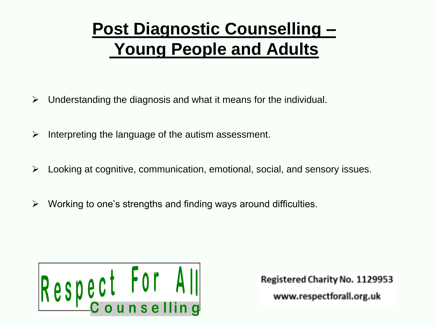## **Post Diagnostic Counselling – Young People and Adults**

- $\triangleright$  Understanding the diagnosis and what it means for the individual.
- $\triangleright$  Interpreting the language of the autism assessment.
- $\triangleright$  Looking at cognitive, communication, emotional, social, and sensory issues.
- $\triangleright$  Working to one's strengths and finding ways around difficulties.

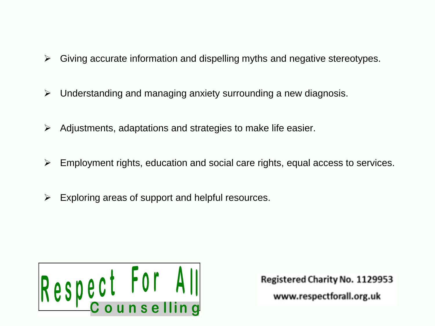- $\triangleright$  Giving accurate information and dispelling myths and negative stereotypes.
- ➢ Understanding and managing anxiety surrounding a new diagnosis.
- $\triangleright$  Adjustments, adaptations and strategies to make life easier.
- $\triangleright$  Employment rights, education and social care rights, equal access to services.
- $\triangleright$  Exploring areas of support and helpful resources.

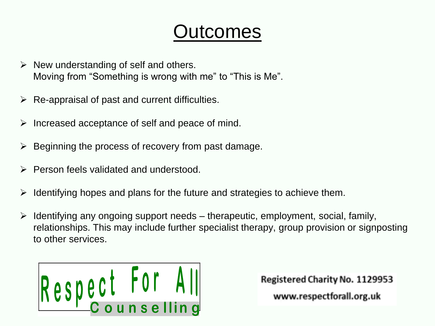## utcomes

- $\triangleright$  New understanding of self and others. Moving from "Something is wrong with me" to "This is Me".
- $\triangleright$  Re-appraisal of past and current difficulties.
- $\triangleright$  Increased acceptance of self and peace of mind.
- $\triangleright$  Beginning the process of recovery from past damage.
- ➢ Person feels validated and understood.
- ➢ Identifying hopes and plans for the future and strategies to achieve them.
- $\triangleright$  Identifying any ongoing support needs therapeutic, employment, social, family, relationships. This may include further specialist therapy, group provision or signposting to other services.

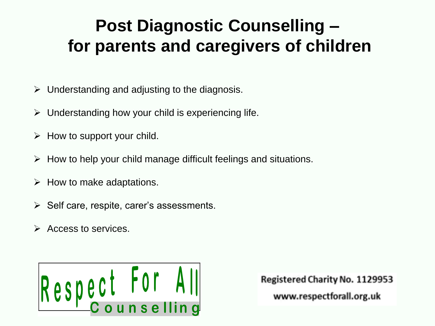#### **Post Diagnostic Counselling – for parents and caregivers of children**

- $\triangleright$  Understanding and adjusting to the diagnosis.
- $\triangleright$  Understanding how your child is experiencing life.
- $\triangleright$  How to support your child.
- $\triangleright$  How to help your child manage difficult feelings and situations.
- $\triangleright$  How to make adaptations.
- $\triangleright$  Self care, respite, carer's assessments.
- ➢ Access to services.

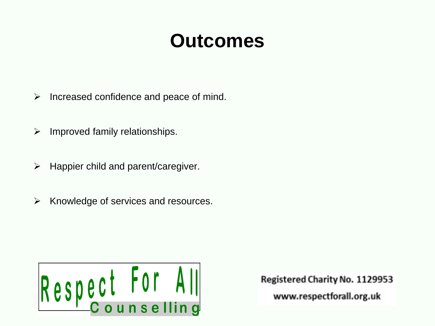## **Outcomes**

- $\triangleright$  Increased confidence and peace of mind.
- $\triangleright$  Improved family relationships.
- $\triangleright$  Happier child and parent/caregiver.
- ➢ Knowledge of services and resources.

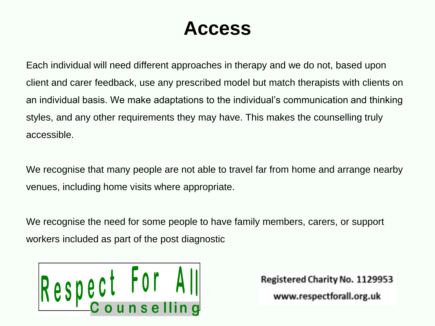## **Access**

Each individual will need different approaches in therapy and we do not, based upon client and carer feedback, use any prescribed model but match therapists with clients on an individual basis. We make adaptations to the individual's communication and thinking styles, and any other requirements they may have. This makes the counselling truly accessible.

We recognise that many people are not able to travel far from home and arrange nearby venues, including home visits where appropriate.

We recognise the need for some people to have family members, carers, or support workers included as part of the post diagnostic

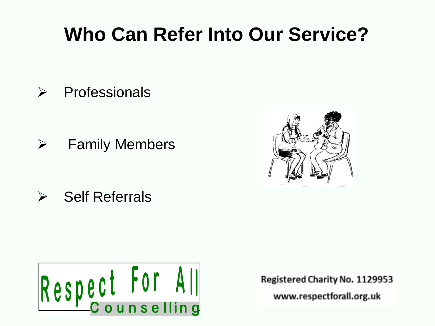# **Who Can Refer Into Our Service?**

➢ Professionals

➢ Family Members

➢ Self Referrals



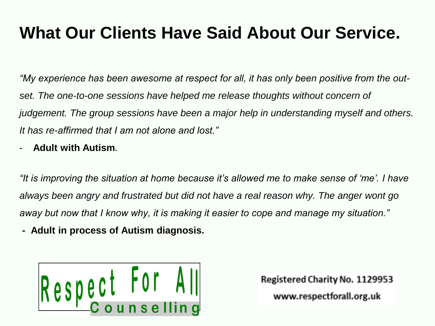#### **What Our Clients Have Said About Our Service.**

*"My experience has been awesome at respect for all, it has only been positive from the outset. The one-to-one sessions have helped me release thoughts without concern of judgement. The group sessions have been a major help in understanding myself and others. It has re-affirmed that I am not alone and lost."* 

- **Adult with Autism.**

*"It is improving the situation at home because it's allowed me to make sense of 'me'. I have always been angry and frustrated but did not have a real reason why. The anger wont go away but now that I know why, it is making it easier to cope and manage my situation."*

**- Adult in process of Autism diagnosis.**

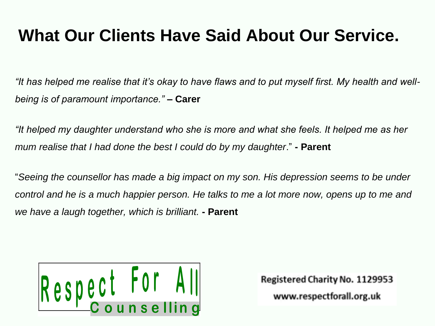#### **What Our Clients Have Said About Our Service.**

*"It has helped me realise that it's okay to have flaws and to put myself first. My health and wellbeing is of paramount importance."* **– Carer**

*"It helped my daughter understand who she is more and what she feels. It helped me as her mum realise that I had done the best I could do by my daughter*." **- Parent**

"*Seeing the counsellor has made a big impact on my son. His depression seems to be under control and he is a much happier person. He talks to me a lot more now, opens up to me and we have a laugh together, which is brilliant.* **- Parent**